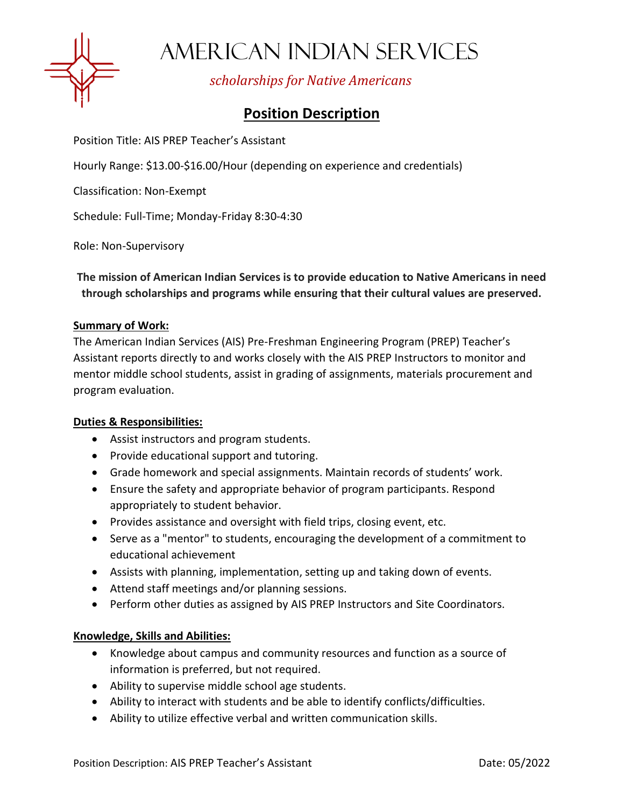

AMERICAN INDIAN SERVICES

*scholarships for Native Americans*

# **Position Description**

Position Title: AIS PREP Teacher's Assistant

Hourly Range: \$13.00-\$16.00/Hour (depending on experience and credentials)

Classification: Non-Exempt

Schedule: Full-Time; Monday-Friday 8:30-4:30

Role: Non-Supervisory

**The mission of American Indian Services is to provide education to Native Americans in need through scholarships and programs while ensuring that their cultural values are preserved.**

#### **Summary of Work:**

The American Indian Services (AIS) Pre-Freshman Engineering Program (PREP) Teacher's Assistant reports directly to and works closely with the AIS PREP Instructors to monitor and mentor middle school students, assist in grading of assignments, materials procurement and program evaluation.

### **Duties & Responsibilities:**

- Assist instructors and program students.
- Provide educational support and tutoring.
- Grade homework and special assignments. Maintain records of students' work.
- Ensure the safety and appropriate behavior of program participants. Respond appropriately to student behavior.
- Provides assistance and oversight with field trips, closing event, etc.
- Serve as a "mentor" to students, encouraging the development of a commitment to educational achievement
- Assists with planning, implementation, setting up and taking down of events.
- Attend staff meetings and/or planning sessions.
- Perform other duties as assigned by AIS PREP Instructors and Site Coordinators.

### **Knowledge, Skills and Abilities:**

- Knowledge about campus and community resources and function as a source of information is preferred, but not required.
- Ability to supervise middle school age students.
- Ability to interact with students and be able to identify conflicts/difficulties.
- Ability to utilize effective verbal and written communication skills.